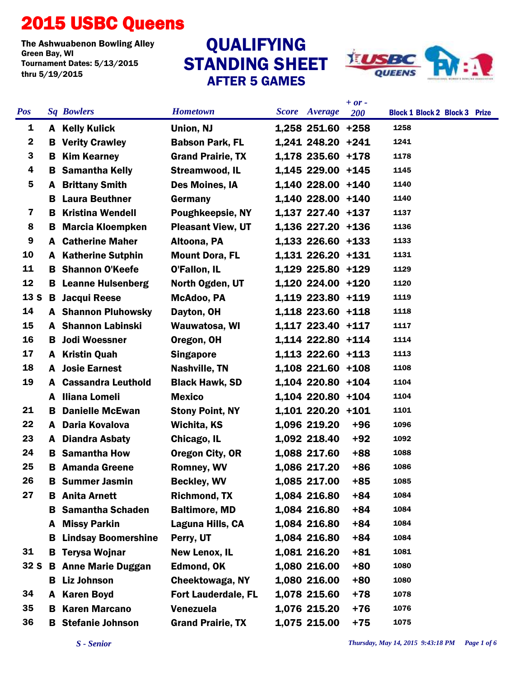## 2015 USBC Queens

The Ashwuabenon Bowling Alley<br>Green Bay, WI Tournament Dates: 5/13/2015 thru 5/19/2015

## STANDING SHEET AFTER 5 GAMES QUALIFYING



|                 |    |                              |                            |                      | $+ or -$   |                                      |
|-----------------|----|------------------------------|----------------------------|----------------------|------------|--------------------------------------|
| <b>Pos</b>      |    | <b>Sq Bowlers</b>            | <b>Hometown</b>            | <b>Score</b> Average | <b>200</b> | <b>Block 1 Block 2 Block 3 Prize</b> |
| 1               |    | A Kelly Kulick               | Union, NJ                  | 1,258 251.60 +258    |            | 1258                                 |
| $\mathbf 2$     | В  | <b>Verity Crawley</b>        | <b>Babson Park, FL</b>     | 1,241 248.20 +241    |            | 1241                                 |
| 3               | B  | <b>Kim Kearney</b>           | <b>Grand Prairie, TX</b>   | 1,178 235.60 +178    |            | 1178                                 |
| 4               | в  | <b>Samantha Kelly</b>        | <b>Streamwood, IL</b>      | 1,145 229.00 +145    |            | 1145                                 |
| 5               | A  | <b>Brittany Smith</b>        | Des Moines, IA             | 1,140 228.00 +140    |            | 1140                                 |
|                 | в. | <b>Laura Beuthner</b>        | Germany                    | 1,140 228.00 +140    |            | 1140                                 |
| 7               |    | <b>B</b> Kristina Wendell    | <b>Poughkeepsie, NY</b>    | 1,137 227.40 +137    |            | 1137                                 |
| 8               | в. | <b>Marcia Kloempken</b>      | <b>Pleasant View, UT</b>   | 1,136 227.20 +136    |            | 1136                                 |
| 9               |    | <b>A</b> Catherine Maher     | Altoona, PA                | 1,133 226.60 +133    |            | 1133                                 |
| 10              |    | <b>A</b> Katherine Sutphin   | <b>Mount Dora, FL</b>      | 1,131 226.20 +131    |            | 1131                                 |
| 11              |    | <b>B</b> Shannon O'Keefe     | O'Fallon, IL               | 1,129 225.80 +129    |            | 1129                                 |
| 12              |    | <b>B</b> Leanne Hulsenberg   | North Ogden, UT            | 1,120 224.00 +120    |            | 1120                                 |
| 13 <sub>S</sub> |    | <b>B</b> Jacqui Reese        | McAdoo, PA                 | 1,119 223.80 +119    |            | 1119                                 |
| 14              |    | <b>A</b> Shannon Pluhowsky   | Dayton, OH                 | 1,118 223.60 +118    |            | 1118                                 |
| 15              |    | <b>A</b> Shannon Labinski    | Wauwatosa, WI              | 1,117 223.40 +117    |            | 1117                                 |
| 16              |    | <b>B</b> Jodi Woessner       | Oregon, OH                 | 1,114 222.80 +114    |            | 1114                                 |
| 17              |    | A Kristin Quah               | <b>Singapore</b>           | 1,113 222.60 +113    |            | 1113                                 |
| 18              |    | <b>A</b> Josie Earnest       | Nashville, TN              | $1,108$ 221.60 +108  |            | 1108                                 |
| 19              |    | <b>A</b> Cassandra Leuthold  | <b>Black Hawk, SD</b>      | 1,104 220.80 +104    |            | 1104                                 |
|                 | A  | <b>Iliana Lomeli</b>         | <b>Mexico</b>              | 1,104 220.80 +104    |            | 1104                                 |
| 21              | B. | <b>Danielle McEwan</b>       | <b>Stony Point, NY</b>     | 1,101 220.20 +101    |            | 1101                                 |
| 22              |    | A Daria Kovalova             | Wichita, KS                | 1,096 219.20         | $+96$      | 1096                                 |
| 23              | A  | <b>Diandra Asbaty</b>        | Chicago, IL                | 1,092 218.40         | $+92$      | 1092                                 |
| 24              |    | <b>B</b> Samantha How        | Oregon City, OR            | 1,088 217.60         | $+88$      | 1088                                 |
| 25              |    | <b>B</b> Amanda Greene       | <b>Romney, WV</b>          | 1,086 217.20         | $+86$      | 1086                                 |
| 26              |    | <b>B</b> Summer Jasmin       | <b>Beckley, WV</b>         | 1,085 217.00         | $+85$      | 1085                                 |
| 27              |    | <b>B</b> Anita Arnett        | <b>Richmond, TX</b>        | 1,084 216.80         | $+84$      | 1084                                 |
|                 |    | <b>B</b> Samantha Schaden    | <b>Baltimore, MD</b>       | 1,084 216.80         | +84        | 1084                                 |
|                 |    | A Missy Parkin               | Laguna Hills, CA           | 1,084 216.80         | $+84$      | 1084                                 |
|                 |    | <b>B</b> Lindsay Boomershine | Perry, UT                  | 1,084 216.80         | $+84$      | 1084                                 |
| 31              |    | <b>B</b> Terysa Wojnar       | <b>New Lenox, IL</b>       | 1,081 216.20         | $+81$      | 1081                                 |
| 32S             |    | <b>B</b> Anne Marie Duggan   | <b>Edmond, OK</b>          | 1,080 216.00         | $+80$      | 1080                                 |
|                 |    | <b>B</b> Liz Johnson         | Cheektowaga, NY            | 1,080 216.00         | $+80$      | 1080                                 |
| 34              |    | A Karen Boyd                 | <b>Fort Lauderdale, FL</b> | 1,078 215.60         | +78        | 1078                                 |
| 35              |    | <b>B</b> Karen Marcano       | Venezuela                  | 1,076 215.20         | $+76$      | 1076                                 |
| 36              |    | <b>B</b> Stefanie Johnson    | <b>Grand Prairie, TX</b>   | 1,075 215.00         | $+75$      | 1075                                 |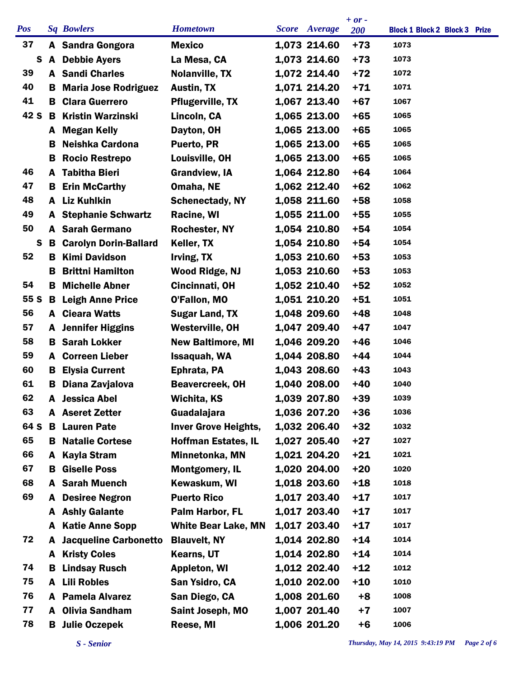|            |    |                                |                             |                      | $+ or -$ |                                      |
|------------|----|--------------------------------|-----------------------------|----------------------|----------|--------------------------------------|
| <b>Pos</b> |    | <b>Sq Bowlers</b>              | <b>Hometown</b>             | <b>Score</b> Average | 200      | <b>Block 1 Block 2 Block 3 Prize</b> |
| 37         |    | A Sandra Gongora               | <b>Mexico</b>               | 1,073 214.60         | $+73$    | 1073                                 |
| S          |    | A Debbie Ayers                 | La Mesa, CA                 | 1,073 214.60         | $+73$    | 1073                                 |
| 39         |    | <b>A</b> Sandi Charles         | <b>Nolanville, TX</b>       | 1,072 214.40         | $+72$    | 1072                                 |
| 40         | B  | <b>Maria Jose Rodriguez</b>    | <b>Austin, TX</b>           | 1,071 214.20         | $+71$    | 1071                                 |
| 41         | В. | <b>Clara Guerrero</b>          | <b>Pflugerville, TX</b>     | 1,067 213.40         | $+67$    | 1067                                 |
| 42 S       | B  | <b>Kristin Warzinski</b>       | Lincoln, CA                 | 1,065 213.00         | $+65$    | 1065                                 |
|            |    | A Megan Kelly                  | Dayton, OH                  | 1,065 213.00         | $+65$    | 1065                                 |
|            | в  | Neishka Cardona                | Puerto, PR                  | 1,065 213.00         | $+65$    | 1065                                 |
|            | B  | <b>Rocio Restrepo</b>          | Louisville, OH              | 1,065 213.00         | $+65$    | 1065                                 |
| 46         | A  | <b>Tabitha Bieri</b>           | <b>Grandview, IA</b>        | 1,064 212.80         | $+64$    | 1064                                 |
| 47         | B. | <b>Erin McCarthy</b>           | Omaha, NE                   | 1,062 212.40         | $+62$    | 1062                                 |
| 48         |    | A Liz Kuhlkin                  | <b>Schenectady, NY</b>      | 1,058 211.60         | $+58$    | 1058                                 |
| 49         |    | <b>A</b> Stephanie Schwartz    | Racine, WI                  | 1,055 211.00         | $+55$    | 1055                                 |
| 50         | A  | <b>Sarah Germano</b>           | <b>Rochester, NY</b>        | 1,054 210.80         | $+54$    | 1054                                 |
| S          | B  | <b>Carolyn Dorin-Ballard</b>   | Keller, TX                  | 1,054 210.80         | +54      | 1054                                 |
| 52         | B  | <b>Kimi Davidson</b>           | Irving, TX                  | 1,053 210.60         | $+53$    | 1053                                 |
|            | в  | <b>Brittni Hamilton</b>        | Wood Ridge, NJ              | 1,053 210.60         | $+53$    | 1053                                 |
| 54         | B  | <b>Michelle Abner</b>          | Cincinnati, OH              | 1,052 210.40         | $+52$    | 1052                                 |
| 55 S       | B  | <b>Leigh Anne Price</b>        | O'Fallon, MO                | 1,051 210.20         | $+51$    | 1051                                 |
| 56         |    | <b>A</b> Cieara Watts          | <b>Sugar Land, TX</b>       | 1,048 209.60         | $+48$    | 1048                                 |
| 57         |    | <b>A</b> Jennifer Higgins      | <b>Westerville, OH</b>      | 1,047 209.40         | +47      | 1047                                 |
| 58         | В  | <b>Sarah Lokker</b>            | <b>New Baltimore, MI</b>    | 1,046 209.20         | $+46$    | 1046                                 |
| 59         | A  | <b>Correen Lieber</b>          | Issaquah, WA                | 1,044 208.80         | $+44$    | 1044                                 |
| 60         | B. | <b>Elysia Current</b>          | Ephrata, PA                 | 1,043 208.60         | $+43$    | 1043                                 |
| 61         | В  | Diana Zavjalova                | Beavercreek, OH             | 1,040 208.00         | $+40$    | 1040                                 |
| 62         | A  | <b>Jessica Abel</b>            | Wichita, KS                 | 1,039 207.80         | $+39$    | 1039                                 |
| 63         |    | <b>A</b> Aseret Zetter         | Guadalajara                 | 1,036 207.20         | $+36$    | 1036                                 |
| 64 S       |    | <b>B</b> Lauren Pate           | <b>Inver Grove Heights,</b> | 1,032 206.40         | $+32$    | 1032                                 |
| 65         |    | <b>B</b> Natalie Cortese       | <b>Hoffman Estates, IL</b>  | 1,027 205.40         | $+27$    | 1027                                 |
| 66         | A  | <b>Kayla Stram</b>             | Minnetonka, MN              | 1,021 204.20         | $+21$    | 1021                                 |
| 67         | в  | <b>Giselle Poss</b>            | <b>Montgomery, IL</b>       | 1,020 204.00         | $+20$    | 1020                                 |
| 68         |    | <b>A</b> Sarah Muench          | Kewaskum, WI                | 1,018 203.60         | $+18$    | 1018                                 |
| 69         | A  | <b>Desiree Negron</b>          | <b>Puerto Rico</b>          | 1,017 203.40         | $+17$    | 1017                                 |
|            |    | A Ashly Galante                | Palm Harbor, FL             | 1,017 203.40         | $+17$    | 1017                                 |
|            | A  | <b>Katie Anne Sopp</b>         | <b>White Bear Lake, MN</b>  | 1,017 203.40         | $+17$    | 1017                                 |
| 72         |    | <b>A</b> Jacqueline Carbonetto | <b>Blauvelt, NY</b>         | 1,014 202.80         | $+14$    | 1014                                 |
|            | A  | <b>Kristy Coles</b>            | <b>Kearns, UT</b>           | 1,014 202.80         | $+14$    | 1014                                 |
| 74         | в  | <b>Lindsay Rusch</b>           | <b>Appleton, WI</b>         | 1,012 202.40         | $+12$    | 1012                                 |
| 75         | A  | <b>Lili Robles</b>             | San Ysidro, CA              | 1,010 202.00         | $+10$    | 1010                                 |
| 76         |    | <b>A</b> Pamela Alvarez        | San Diego, CA               | 1,008 201.60         | $+8$     | 1008                                 |
| 77         |    | A Olivia Sandham               | Saint Joseph, MO            | 1,007 201.40         | $+7$     | 1007                                 |
| 78         |    | <b>B</b> Julie Oczepek         | Reese, MI                   | 1,006 201.20         | $+6$     | 1006                                 |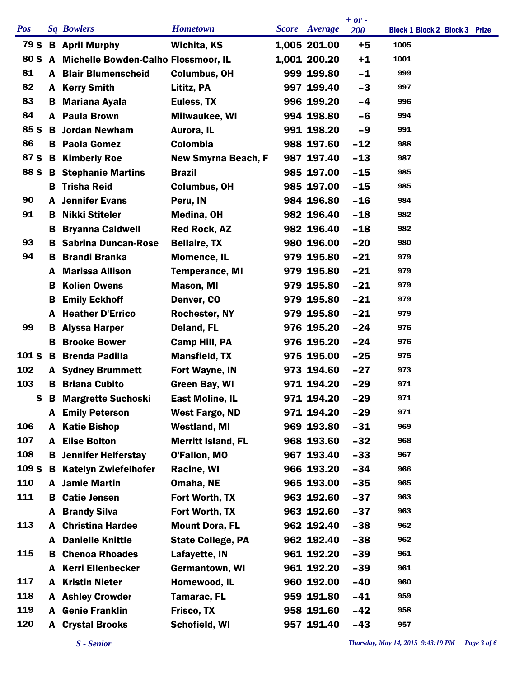|            |    |                                            |                            |                      | $+ or -$   |                                      |  |
|------------|----|--------------------------------------------|----------------------------|----------------------|------------|--------------------------------------|--|
| <b>Pos</b> |    | <b>Sq Bowlers</b>                          | <b>Hometown</b>            | <b>Score</b> Average | <b>200</b> | <b>Block 1 Block 2 Block 3 Prize</b> |  |
|            |    | 79 S B April Murphy                        | Wichita, KS                | 1,005 201.00         | $+5$       | 1005                                 |  |
|            |    | 80 S A Michelle Bowden-Calho Flossmoor, IL |                            | 1,001 200.20         | $+1$       | 1001                                 |  |
| 81         |    | <b>A</b> Blair Blumenscheid                | <b>Columbus, OH</b>        | 999 199.80           | -1         | 999                                  |  |
| 82         | A  | <b>Kerry Smith</b>                         | Lititz, PA                 | 997 199.40           | $-3$       | 997                                  |  |
| 83         | в  | <b>Mariana Ayala</b>                       | Euless, TX                 | 996 199.20           | -4         | 996                                  |  |
| 84         | A  | <b>Paula Brown</b>                         | Milwaukee, WI              | 994 198.80           | $-6$       | 994                                  |  |
| 85 S       |    | <b>B</b> Jordan Newham                     | Aurora, IL                 | 991 198.20           | -9         | 991                                  |  |
| 86         |    | <b>B</b> Paola Gomez                       | Colombia                   | 988 197.60           | $-12$      | 988                                  |  |
| 87 S       |    | <b>B</b> Kimberly Roe                      | <b>New Smyrna Beach, F</b> | 987 197.40           | $-13$      | 987                                  |  |
| 88 S       |    | <b>B</b> Stephanie Martins                 | <b>Brazil</b>              | 985 197.00           | $-15$      | 985                                  |  |
|            | В. | <b>Trisha Reid</b>                         | <b>Columbus, OH</b>        | 985 197.00           | $-15$      | 985                                  |  |
| 90         |    | <b>A</b> Jennifer Evans                    | Peru, IN                   | 984 196.80           | $-16$      | 984                                  |  |
| 91         | в  | Nikki Stiteler                             | Medina, OH                 | 982 196.40           | $-18$      | 982                                  |  |
|            | в  | <b>Bryanna Caldwell</b>                    | <b>Red Rock, AZ</b>        | 982 196.40           | $-18$      | 982                                  |  |
| 93         |    | <b>B</b> Sabrina Duncan-Rose               | <b>Bellaire, TX</b>        | 980 196.00           | $-20$      | 980                                  |  |
| 94         | в  | <b>Brandi Branka</b>                       | <b>Momence, IL</b>         | 979 195.80           | $-21$      | 979                                  |  |
|            | A  | <b>Marissa Allison</b>                     | <b>Temperance, MI</b>      | 979 195.80           | $-21$      | 979                                  |  |
|            | в  | <b>Kolien Owens</b>                        | Mason, MI                  | 979 195.80           | $-21$      | 979                                  |  |
|            | В  | <b>Emily Eckhoff</b>                       | Denver, CO                 | 979 195.80           | $-21$      | 979                                  |  |
|            | A  | <b>Heather D'Errico</b>                    | <b>Rochester, NY</b>       | 979 195.80           | $-21$      | 979                                  |  |
| 99         | в  | <b>Alyssa Harper</b>                       | Deland, FL                 | 976 195.20           | $-24$      | 976                                  |  |
|            | в  | <b>Brooke Bower</b>                        | Camp Hill, PA              | 976 195.20           | $-24$      | 976                                  |  |
| 101 S B    |    | <b>Brenda Padilla</b>                      | <b>Mansfield, TX</b>       | 975 195.00           | $-25$      | 975                                  |  |
| 102        |    | <b>A</b> Sydney Brummett                   | <b>Fort Wayne, IN</b>      | 973 194.60           | $-27$      | 973                                  |  |
| 103        | В  | <b>Briana Cubito</b>                       | <b>Green Bay, WI</b>       | 971 194.20           | $-29$      | 971                                  |  |
|            |    | <b>S</b> B Margrette Suchoski              | <b>East Moline, IL</b>     | 971 194.20           | $-29$      | 971                                  |  |
|            |    | <b>A</b> Emily Peterson                    | <b>West Fargo, ND</b>      | 971 194.20           | $-29$      | 971                                  |  |
| 106        | A  | <b>Katie Bishop</b>                        | <b>Westland, MI</b>        | 969 193.80           | $-31$      | 969                                  |  |
| 107        | A  | <b>Elise Bolton</b>                        | <b>Merritt Island, FL</b>  | 968 193.60           | $-32$      | 968                                  |  |
| 108        | в  | <b>Jennifer Helferstay</b>                 | O'Fallon, MO               | 967 193.40           | $-33$      | 967                                  |  |
| 109S       | В  | <b>Katelyn Zwiefelhofer</b>                | Racine, WI                 | 966 193.20           | $-34$      | 966                                  |  |
| 110        |    | A Jamie Martin                             | Omaha, NE                  | 965 193.00           | $-35$      | 965                                  |  |
| 111        | в  | <b>Catie Jensen</b>                        | Fort Worth, TX             | 963 192.60           | $-37$      | 963                                  |  |
|            | A  | <b>Brandy Silva</b>                        | Fort Worth, TX             | 963 192.60           | $-37$      | 963                                  |  |
| 113        | A  | <b>Christina Hardee</b>                    | <b>Mount Dora, FL</b>      | 962 192.40           | $-38$      | 962                                  |  |
|            | A  | <b>Danielle Knittle</b>                    | <b>State College, PA</b>   | 962 192.40           | $-38$      | 962                                  |  |
| 115        | в  | <b>Chenoa Rhoades</b>                      | Lafayette, IN              | 961 192.20           | $-39$      | 961                                  |  |
|            | A  | <b>Kerri Ellenbecker</b>                   | Germantown, WI             | 961 192.20           | $-39$      | 961                                  |  |
| 117        | A  | <b>Kristin Nieter</b>                      | Homewood, IL               | 960 192.00           | $-40$      | 960                                  |  |
| 118        |    | <b>A</b> Ashley Crowder                    | <b>Tamarac, FL</b>         | 959 191.80           | $-41$      | 959                                  |  |
| 119        | A  | <b>Genie Franklin</b>                      | Frisco, TX                 | 958 191.60           | $-42$      | 958                                  |  |
| 120        | A  | <b>Crystal Brooks</b>                      | Schofield, WI              | 957 191.40           | $-43$      | 957                                  |  |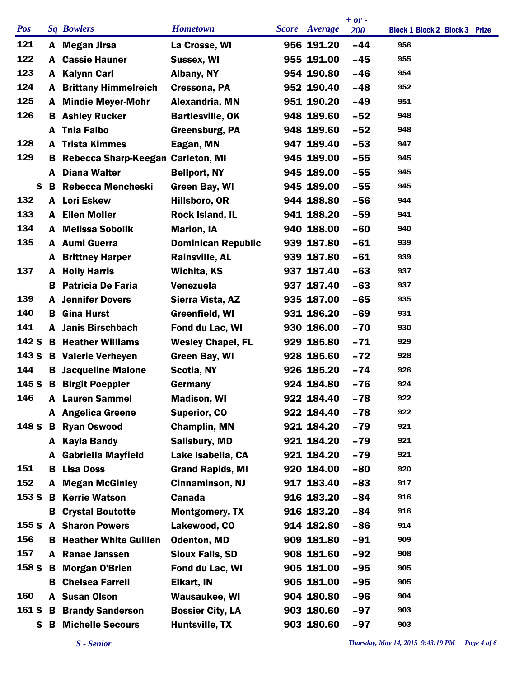|            |    |    |                                   |                           |                      | $+ or -$   |                                      |
|------------|----|----|-----------------------------------|---------------------------|----------------------|------------|--------------------------------------|
| <b>Pos</b> |    |    | <b>Sq Bowlers</b>                 | <b>Hometown</b>           | <b>Score</b> Average | <b>200</b> | <b>Block 1 Block 2 Block 3 Prize</b> |
| 121        |    |    | A Megan Jirsa                     | La Crosse, WI             | 956 191.20           | $-44$      | 956                                  |
| 122        |    |    | <b>A</b> Cassie Hauner            | <b>Sussex, WI</b>         | 955 191.00           | $-45$      | 955                                  |
| 123        |    |    | A Kalynn Carl                     | Albany, NY                | 954 190.80           | $-46$      | 954                                  |
| 124        |    |    | <b>A</b> Brittany Himmelreich     | Cressona, PA              | 952 190.40           | $-48$      | 952                                  |
| 125        |    |    | <b>A</b> Mindie Meyer-Mohr        | Alexandria, MN            | 951 190.20           | $-49$      | 951                                  |
| 126        |    | В. | <b>Ashley Rucker</b>              | <b>Bartlesville, OK</b>   | 948 189.60           | $-52$      | 948                                  |
|            |    | A  | <b>Thia Falbo</b>                 | Greensburg, PA            | 948 189.60           | $-52$      | 948                                  |
| 128        |    |    | <b>A</b> Trista Kimmes            | Eagan, MN                 | 947 189.40           | $-53$      | 947                                  |
| 129        |    | в  | Rebecca Sharp-Keegan Carleton, MI |                           | 945 189.00           | $-55$      | 945                                  |
|            |    | A  | <b>Diana Walter</b>               | <b>Bellport, NY</b>       | 945 189.00           | $-55$      | 945                                  |
|            | S  | B  | <b>Rebecca Mencheski</b>          | Green Bay, WI             | 945 189.00           | $-55$      | 945                                  |
| 132        |    |    | A Lori Eskew                      | Hillsboro, OR             | 944 188.80           | $-56$      | 944                                  |
| 133        |    |    | <b>A</b> Ellen Moller             | Rock Island, IL           | 941 188.20           | $-59$      | 941                                  |
| 134        |    | A  | <b>Melissa Sobolik</b>            | <b>Marion, IA</b>         | 940 188.00           | $-60$      | 940                                  |
| 135        |    |    | A Aumi Guerra                     | <b>Dominican Republic</b> | 939 187.80           | $-61$      | 939                                  |
|            |    |    | <b>A</b> Brittney Harper          | <b>Rainsville, AL</b>     | 939 187.80           | $-61$      | 939                                  |
| 137        |    | A  | <b>Holly Harris</b>               | Wichita, KS               | 937 187.40           | $-63$      | 937                                  |
|            |    | в  | <b>Patricia De Faria</b>          | Venezuela                 | 937 187.40           | $-63$      | 937                                  |
| 139        |    | A  | <b>Jennifer Dovers</b>            | Sierra Vista, AZ          | 935 187.00           | $-65$      | 935                                  |
| 140        |    | в  | <b>Gina Hurst</b>                 | Greenfield, WI            | 931 186.20           | $-69$      | 931                                  |
| 141        |    |    | <b>A</b> Janis Birschbach         | Fond du Lac, WI           | 930 186.00           | $-70$      | 930                                  |
| 142 S      |    |    | <b>B</b> Heather Williams         | <b>Wesley Chapel, FL</b>  | 929 185.80           | $-71$      | 929                                  |
|            |    |    | 143 S B Valerie Verheyen          | Green Bay, WI             | 928 185.60           | $-72$      | 928                                  |
| 144        |    |    | <b>B</b> Jacqueline Malone        | Scotia, NY                | 926 185.20           | $-74$      | 926                                  |
|            |    |    | 145 S B Birgit Poeppler           | Germany                   | 924 184.80           | $-76$      | 924                                  |
| 146        |    |    | <b>A</b> Lauren Sammel            | <b>Madison, WI</b>        | 922 184.40           | $-78$      | 922                                  |
|            |    |    | A Angelica Greene                 | <b>Superior, CO</b>       | 922 184.40           | $-78$      | 922                                  |
|            |    |    | 148 S B Ryan Oswood               | <b>Champlin, MN</b>       | 921 184.20           | $-79$      | 921                                  |
|            |    |    | A Kayla Bandy                     | <b>Salisbury, MD</b>      | 921 184.20           | $-79$      | 921                                  |
|            |    |    | A Gabriella Mayfield              | Lake Isabella, CA         | 921 184.20           | $-79$      | 921                                  |
| 151        |    | В  | <b>Lisa Doss</b>                  | <b>Grand Rapids, MI</b>   | 920 184.00           | $-80$      | 920                                  |
| 152        |    |    | <b>A</b> Megan McGinley           | <b>Cinnaminson, NJ</b>    | 917 183.40           | $-83$      | 917                                  |
|            |    |    | 153 S B Kerrie Watson             | <b>Canada</b>             | 916 183.20           | $-84$      | 916                                  |
|            |    | B. | <b>Crystal Boutotte</b>           | <b>Montgomery, TX</b>     | 916 183.20           | $-84$      | 916                                  |
|            |    |    | <b>155 S A Sharon Powers</b>      | Lakewood, CO              | 914 182.80           | $-86$      | 914                                  |
| 156        |    |    | <b>B</b> Heather White Guillen    | <b>Odenton, MD</b>        | 909 181.80           | $-91$      | 909                                  |
| 157        |    |    | A Ranae Janssen                   | <b>Sioux Falls, SD</b>    | 908 181.60           | $-92$      | 908                                  |
|            |    |    | 158 S B Morgan O'Brien            | Fond du Lac, WI           | 905 181.00           | $-95$      | 905                                  |
|            |    | в  | <b>Chelsea Farrell</b>            | Elkart, IN                | 905 181.00           | $-95$      | 905                                  |
| 160        |    |    | A Susan Olson                     | <b>Wausaukee, WI</b>      | 904 180.80           | $-96$      | 904                                  |
|            |    |    | 161 S B Brandy Sanderson          | <b>Bossier City, LA</b>   | 903 180.60           | -97        | 903                                  |
|            | S. |    | <b>B</b> Michelle Secours         | Huntsville, TX            | 903 180.60           | $-97$      | 903                                  |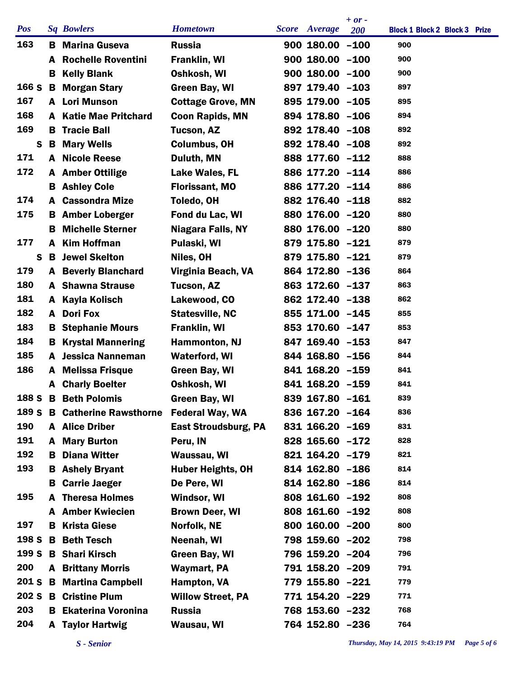|            |    |                              |                             |                      | $+ or -$ |                                      |
|------------|----|------------------------------|-----------------------------|----------------------|----------|--------------------------------------|
| <b>Pos</b> |    | <b>Sq Bowlers</b>            | <b>Hometown</b>             | <b>Score</b> Average | 200      | <b>Block 1 Block 2 Block 3 Prize</b> |
| 163        | в  | <b>Marina Guseva</b>         | <b>Russia</b>               | $900$ 180.00 $-100$  |          | 900                                  |
|            | A  | <b>Rochelle Roventini</b>    | Franklin, WI                | $900$ 180.00 $-100$  |          | 900                                  |
|            | В  | <b>Kelly Blank</b>           | Oshkosh, WI                 | $900$ 180.00 $-100$  |          | 900                                  |
| 166 S      | В  | <b>Morgan Stary</b>          | <b>Green Bay, WI</b>        | 897 179.40 -103      |          | 897                                  |
| 167        | A  | <b>Lori Munson</b>           | <b>Cottage Grove, MN</b>    | 895 179.00 -105      |          | 895                                  |
| 168        | A  | <b>Katie Mae Pritchard</b>   | <b>Coon Rapids, MN</b>      | 894 178.80 -106      |          | 894                                  |
| 169        | В  | <b>Tracie Ball</b>           | <b>Tucson, AZ</b>           | 892 178.40 -108      |          | 892                                  |
| S          | В  | <b>Mary Wells</b>            | <b>Columbus, OH</b>         | 892 178.40 -108      |          | 892                                  |
| 171        | A  | <b>Nicole Reese</b>          | Duluth, MN                  | 888 177.60 -112      |          | 888                                  |
| 172        | A  | <b>Amber Ottilige</b>        | Lake Wales, FL              | 886 177.20 -114      |          | 886                                  |
|            | В  | <b>Ashley Cole</b>           | <b>Florissant, MO</b>       | 886 177.20 -114      |          | 886                                  |
| 174        | A  | <b>Cassondra Mize</b>        | Toledo, OH                  | 882 176.40 -118      |          | 882                                  |
| 175        | в  | <b>Amber Loberger</b>        | Fond du Lac, WI             | 880 176.00 -120      |          | 880                                  |
|            | в  | <b>Michelle Sterner</b>      | <b>Niagara Falls, NY</b>    | 880 176.00 -120      |          | 880                                  |
| 177        | A  | <b>Kim Hoffman</b>           | Pulaski, WI                 | 879 175.80 -121      |          | 879                                  |
| S          | B  | <b>Jewel Skelton</b>         | Niles, OH                   | 879 175.80 -121      |          | 879                                  |
| 179        | A  | <b>Beverly Blanchard</b>     | Virginia Beach, VA          | 864 172.80 -136      |          | 864                                  |
| 180        |    | <b>A</b> Shawna Strause      | <b>Tucson, AZ</b>           | 863 172.60 -137      |          | 863                                  |
| 181        | A  | <b>Kayla Kolisch</b>         | Lakewood, CO                | 862 172.40 -138      |          | 862                                  |
| 182        | A  | <b>Dori Fox</b>              | <b>Statesville, NC</b>      | 855 171.00 -145      |          | 855                                  |
| 183        | В  | <b>Stephanie Mours</b>       | <b>Franklin, WI</b>         | 853 170.60 -147      |          | 853                                  |
| 184        | в  | <b>Krystal Mannering</b>     | <b>Hammonton, NJ</b>        | 847 169.40 -153      |          | 847                                  |
| 185        | A  | <b>Jessica Nanneman</b>      | <b>Waterford, WI</b>        | 844 168.80 -156      |          | 844                                  |
| 186        | A  | <b>Melissa Frisque</b>       | <b>Green Bay, WI</b>        | 841 168.20 -159      |          | 841                                  |
|            | A  | <b>Charly Boelter</b>        | Oshkosh, WI                 | 841 168.20 -159      |          | 841                                  |
|            |    | 188 S B Beth Polomis         | Green Bay, WI               | 839 167.80 -161      |          | 839                                  |
|            |    | 189 S B Catherine Rawsthorne | <b>Federal Way, WA</b>      | 836 167.20 -164      |          | 836                                  |
| 190        |    | A Alice Driber               | <b>East Stroudsburg, PA</b> | 831 166.20 -169      |          | 831                                  |
| 191        | A  | <b>Mary Burton</b>           | Peru, IN                    | 828 165.60 -172      |          | 828                                  |
| 192        | в. | <b>Diana Witter</b>          | Waussau, WI                 | 821 164.20 -179      |          | 821                                  |
| 193        | в  | <b>Ashely Bryant</b>         | <b>Huber Heights, OH</b>    | 814 162.80 -186      |          | 814                                  |
|            | В  | <b>Carrie Jaeger</b>         | De Pere, WI                 | 814 162.80 -186      |          | 814                                  |
| 195        |    | <b>A</b> Theresa Holmes      | Windsor, WI                 | 808 161.60 -192      |          | 808                                  |
|            | A  | <b>Amber Kwiecien</b>        | <b>Brown Deer, WI</b>       | 808 161.60 -192      |          | 808                                  |
| 197        | B. | <b>Krista Giese</b>          | Norfolk, NE                 | 800 160.00 -200      |          | 800                                  |
| 198 S      | B  | <b>Beth Tesch</b>            | Neenah, WI                  | 798 159.60 -202      |          | 798                                  |
| 199 S      |    | <b>B</b> Shari Kirsch        | <b>Green Bay, WI</b>        | 796 159.20 -204      |          | 796                                  |
| 200        |    | <b>A</b> Brittany Morris     | Waymart, PA                 | 791 158.20 -209      |          | 791                                  |
| 201 S      | В  | <b>Martina Campbell</b>      | Hampton, VA                 | 779 155.80 -221      |          | 779                                  |
| 202S       |    | <b>B</b> Cristine Plum       | <b>Willow Street, PA</b>    | 771 154.20 -229      |          | 771                                  |
| 203        |    | <b>B</b> Ekaterina Voronina  | <b>Russia</b>               | 768 153.60 -232      |          | 768                                  |
| 204        |    | <b>A</b> Taylor Hartwig      | Wausau, WI                  | 764 152.80 -236      |          | 764                                  |
|            |    |                              |                             |                      |          |                                      |